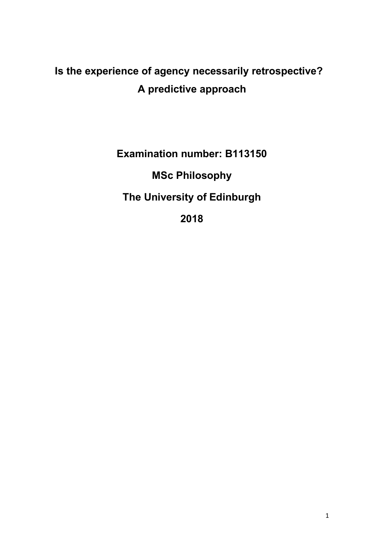# **Is the experience of agency necessarily retrospective? A predictive approach**

**Examination number: B113150**

**MSc Philosophy**

**The University of Edinburgh**

**2018**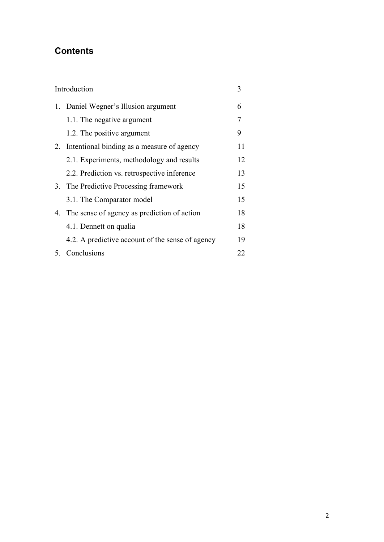# **Contents**

| Introduction |                                                  | 3  |
|--------------|--------------------------------------------------|----|
| 1.           | Daniel Wegner's Illusion argument                | 6  |
|              | 1.1. The negative argument                       | 7  |
|              | 1.2. The positive argument                       | 9  |
| 2.           | Intentional binding as a measure of agency       | 11 |
|              | 2.1. Experiments, methodology and results        | 12 |
|              | 2.2. Prediction vs. retrospective inference      | 13 |
|              | 3. The Predictive Processing framework           | 15 |
|              | 3.1. The Comparator model                        | 15 |
|              | 4. The sense of agency as prediction of action   | 18 |
|              | 4.1. Dennett on qualia                           | 18 |
|              | 4.2. A predictive account of the sense of agency | 19 |
|              | 5. Conclusions                                   | 22 |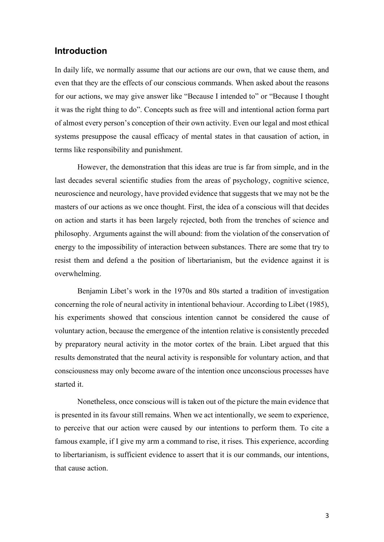## **Introduction**

In daily life, we normally assume that our actions are our own, that we cause them, and even that they are the effects of our conscious commands. When asked about the reasons for our actions, we may give answer like "Because I intended to" or "Because I thought it was the right thing to do". Concepts such as free will and intentional action forma part of almost every person's conception of their own activity. Even our legal and most ethical systems presuppose the causal efficacy of mental states in that causation of action, in terms like responsibility and punishment.

However, the demonstration that this ideas are true is far from simple, and in the last decades several scientific studies from the areas of psychology, cognitive science, neuroscience and neurology, have provided evidence that suggests that we may not be the masters of our actions as we once thought. First, the idea of a conscious will that decides on action and starts it has been largely rejected, both from the trenches of science and philosophy. Arguments against the will abound: from the violation of the conservation of energy to the impossibility of interaction between substances. There are some that try to resist them and defend a the position of libertarianism, but the evidence against it is overwhelming.

Benjamin Libet's work in the 1970s and 80s started a tradition of investigation concerning the role of neural activity in intentional behaviour. According to Libet (1985), his experiments showed that conscious intention cannot be considered the cause of voluntary action, because the emergence of the intention relative is consistently preceded by preparatory neural activity in the motor cortex of the brain. Libet argued that this results demonstrated that the neural activity is responsible for voluntary action, and that consciousness may only become aware of the intention once unconscious processes have started it.

Nonetheless, once conscious will is taken out of the picture the main evidence that is presented in its favour still remains. When we act intentionally, we seem to experience, to perceive that our action were caused by our intentions to perform them. To cite a famous example, if I give my arm a command to rise, it rises. This experience, according to libertarianism, is sufficient evidence to assert that it is our commands, our intentions, that cause action.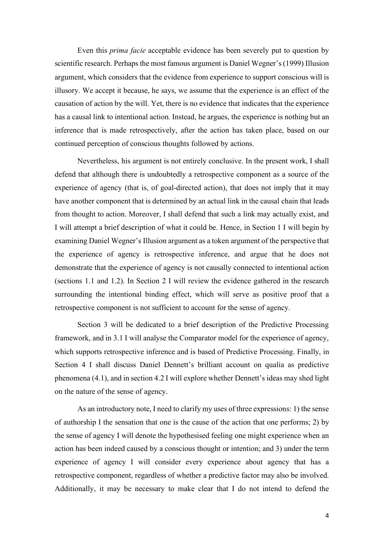Even this *prima facie* acceptable evidence has been severely put to question by scientific research. Perhaps the most famous argument is Daniel Wegner's(1999) Illusion argument, which considers that the evidence from experience to support conscious will is illusory. We accept it because, he says, we assume that the experience is an effect of the causation of action by the will. Yet, there is no evidence that indicates that the experience has a causal link to intentional action. Instead, he argues, the experience is nothing but an inference that is made retrospectively, after the action has taken place, based on our continued perception of conscious thoughts followed by actions.

Nevertheless, his argument is not entirely conclusive. In the present work, I shall defend that although there is undoubtedly a retrospective component as a source of the experience of agency (that is, of goal-directed action), that does not imply that it may have another component that is determined by an actual link in the causal chain that leads from thought to action. Moreover, I shall defend that such a link may actually exist, and I will attempt a brief description of what it could be. Hence, in Section 1 I will begin by examining Daniel Wegner's Illusion argument as a token argument of the perspective that the experience of agency is retrospective inference, and argue that he does not demonstrate that the experience of agency is not causally connected to intentional action (sections 1.1 and 1.2). In Section 2 I will review the evidence gathered in the research surrounding the intentional binding effect, which will serve as positive proof that a retrospective component is not sufficient to account for the sense of agency.

Section 3 will be dedicated to a brief description of the Predictive Processing framework, and in 3.1 I will analyse the Comparator model for the experience of agency, which supports retrospective inference and is based of Predictive Processing. Finally, in Section 4 I shall discuss Daniel Dennett's brilliant account on qualia as predictive phenomena (4.1), and in section 4.2 I will explore whether Dennett's ideas may shed light on the nature of the sense of agency.

As an introductory note, I need to clarify my uses of three expressions: 1) the sense of authorship I the sensation that one is the cause of the action that one performs; 2) by the sense of agency I will denote the hypothesised feeling one might experience when an action has been indeed caused by a conscious thought or intention; and 3) under the term experience of agency I will consider every experience about agency that has a retrospective component, regardless of whether a predictive factor may also be involved. Additionally, it may be necessary to make clear that I do not intend to defend the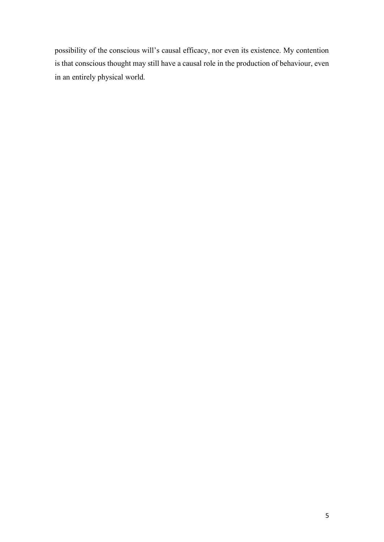possibility of the conscious will's causal efficacy, nor even its existence. My contention is that conscious thought may still have a causal role in the production of behaviour, even in an entirely physical world.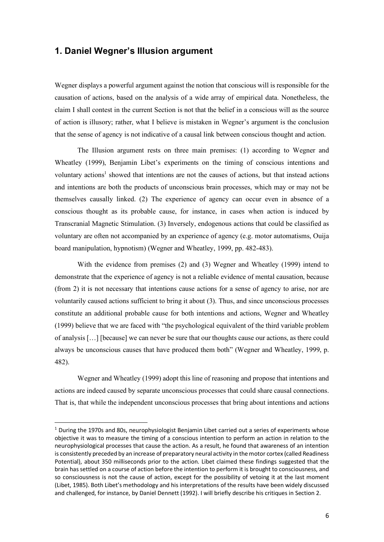## **1. Daniel Wegner's Illusion argument**

Wegner displays a powerful argument against the notion that conscious will is responsible for the causation of actions, based on the analysis of a wide array of empirical data. Nonetheless, the claim I shall contest in the current Section is not that the belief in a conscious will as the source of action is illusory; rather, what I believe is mistaken in Wegner's argument is the conclusion that the sense of agency is not indicative of a causal link between conscious thought and action.

The Illusion argument rests on three main premises: (1) according to Wegner and Wheatley (1999), Benjamin Libet's experiments on the timing of conscious intentions and voluntary actions<sup>1</sup> showed that intentions are not the causes of actions, but that instead actions and intentions are both the products of unconscious brain processes, which may or may not be themselves causally linked. (2) The experience of agency can occur even in absence of a conscious thought as its probable cause, for instance, in cases when action is induced by Transcranial Magnetic Stimulation. (3) Inversely, endogenous actions that could be classified as voluntary are often not accompanied by an experience of agency (e.g. motor automatisms, Ouija board manipulation, hypnotism) (Wegner and Wheatley, 1999, pp. 482-483).

With the evidence from premises (2) and (3) Wegner and Wheatley (1999) intend to demonstrate that the experience of agency is not a reliable evidence of mental causation, because (from 2) it is not necessary that intentions cause actions for a sense of agency to arise, nor are voluntarily caused actions sufficient to bring it about (3). Thus, and since unconscious processes constitute an additional probable cause for both intentions and actions, Wegner and Wheatley (1999) believe that we are faced with "the psychological equivalent of the third variable problem of analysis […] [because] we can never be sure that our thoughts cause our actions, as there could always be unconscious causes that have produced them both" (Wegner and Wheatley, 1999, p. 482).

Wegner and Wheatley (1999) adopt this line of reasoning and propose that intentions and actions are indeed caused by separate unconscious processes that could share causal connections. That is, that while the independent unconscious processes that bring about intentions and actions

 $1$  During the 1970s and 80s, neurophysiologist Benjamin Libet carried out a series of experiments whose objective it was to measure the timing of a conscious intention to perform an action in relation to the neurophysiological processes that cause the action. As a result, he found that awareness of an intention is consistently preceded by an increase of preparatory neural activity in the motor cortex (called Readiness Potential), about 350 milliseconds prior to the action. Libet claimed these findings suggested that the brain has settled on a course of action before the intention to perform it is brought to consciousness, and so consciousness is not the cause of action, except for the possibility of vetoing it at the last moment (Libet, 1985). Both Libet's methodology and his interpretations of the results have been widely discussed and challenged, for instance, by Daniel Dennett (1992). I will briefly describe his critiques in Section 2.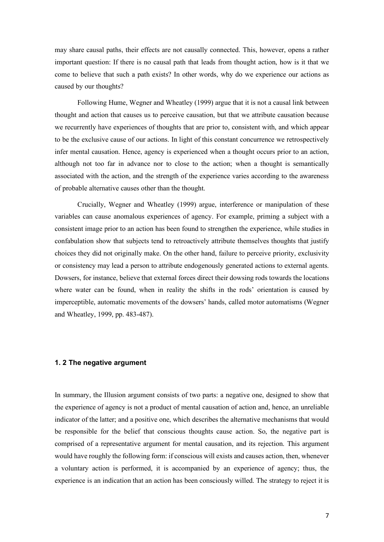may share causal paths, their effects are not causally connected. This, however, opens a rather important question: If there is no causal path that leads from thought action, how is it that we come to believe that such a path exists? In other words, why do we experience our actions as caused by our thoughts?

Following Hume, Wegner and Wheatley (1999) argue that it is not a causal link between thought and action that causes us to perceive causation, but that we attribute causation because we recurrently have experiences of thoughts that are prior to, consistent with, and which appear to be the exclusive cause of our actions. In light of this constant concurrence we retrospectively infer mental causation. Hence, agency is experienced when a thought occurs prior to an action, although not too far in advance nor to close to the action; when a thought is semantically associated with the action, and the strength of the experience varies according to the awareness of probable alternative causes other than the thought.

Crucially, Wegner and Wheatley (1999) argue, interference or manipulation of these variables can cause anomalous experiences of agency. For example, priming a subject with a consistent image prior to an action has been found to strengthen the experience, while studies in confabulation show that subjects tend to retroactively attribute themselves thoughts that justify choices they did not originally make. On the other hand, failure to perceive priority, exclusivity or consistency may lead a person to attribute endogenously generated actions to external agents. Dowsers, for instance, believe that external forces direct their dowsing rods towards the locations where water can be found, when in reality the shifts in the rods' orientation is caused by imperceptible, automatic movements of the dowsers' hands, called motor automatisms (Wegner and Wheatley, 1999, pp. 483-487).

#### **1. 2 The negative argument**

In summary, the Illusion argument consists of two parts: a negative one, designed to show that the experience of agency is not a product of mental causation of action and, hence, an unreliable indicator of the latter; and a positive one, which describes the alternative mechanisms that would be responsible for the belief that conscious thoughts cause action. So, the negative part is comprised of a representative argument for mental causation, and its rejection. This argument would have roughly the following form: if conscious will exists and causes action, then, whenever a voluntary action is performed, it is accompanied by an experience of agency; thus, the experience is an indication that an action has been consciously willed. The strategy to reject it is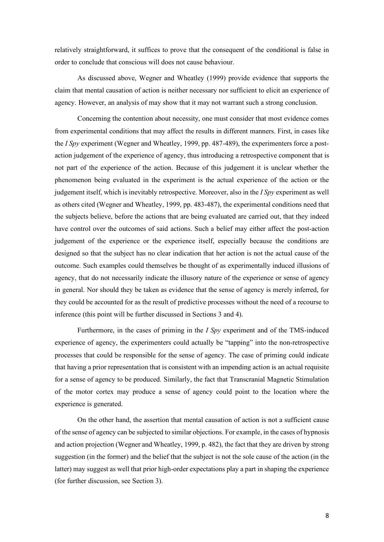relatively straightforward, it suffices to prove that the consequent of the conditional is false in order to conclude that conscious will does not cause behaviour.

As discussed above, Wegner and Wheatley (1999) provide evidence that supports the claim that mental causation of action is neither necessary nor sufficient to elicit an experience of agency. However, an analysis of may show that it may not warrant such a strong conclusion.

Concerning the contention about necessity, one must consider that most evidence comes from experimental conditions that may affect the results in different manners. First, in cases like the *I Spy* experiment (Wegner and Wheatley, 1999, pp. 487-489), the experimenters force a postaction judgement of the experience of agency, thus introducing a retrospective component that is not part of the experience of the action. Because of this judgement it is unclear whether the phenomenon being evaluated in the experiment is the actual experience of the action or the judgement itself, which is inevitably retrospective. Moreover, also in the *I Spy* experiment as well as others cited (Wegner and Wheatley, 1999, pp. 483-487), the experimental conditions need that the subjects believe, before the actions that are being evaluated are carried out, that they indeed have control over the outcomes of said actions. Such a belief may either affect the post-action judgement of the experience or the experience itself, especially because the conditions are designed so that the subject has no clear indication that her action is not the actual cause of the outcome. Such examples could themselves be thought of as experimentally induced illusions of agency, that do not necessarily indicate the illusory nature of the experience or sense of agency in general. Nor should they be taken as evidence that the sense of agency is merely inferred, for they could be accounted for as the result of predictive processes without the need of a recourse to inference (this point will be further discussed in Sections 3 and 4).

Furthermore, in the cases of priming in the *I Spy* experiment and of the TMS-induced experience of agency, the experimenters could actually be "tapping" into the non-retrospective processes that could be responsible for the sense of agency. The case of priming could indicate that having a prior representation that is consistent with an impending action is an actual requisite for a sense of agency to be produced. Similarly, the fact that Transcranial Magnetic Stimulation of the motor cortex may produce a sense of agency could point to the location where the experience is generated.

On the other hand, the assertion that mental causation of action is not a sufficient cause of the sense of agency can be subjected to similar objections. For example, in the cases of hypnosis and action projection (Wegner and Wheatley, 1999, p. 482), the fact that they are driven by strong suggestion (in the former) and the belief that the subject is not the sole cause of the action (in the latter) may suggest as well that prior high-order expectations play a part in shaping the experience (for further discussion, see Section 3).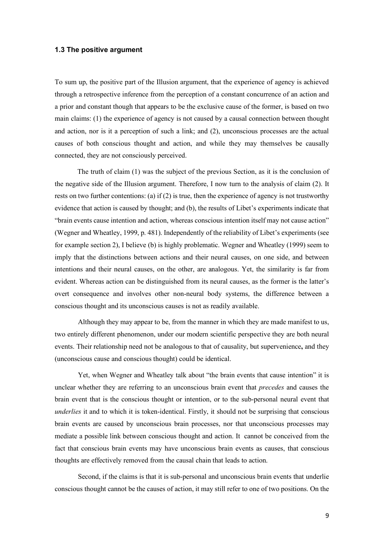#### **1.3 The positive argument**

To sum up, the positive part of the Illusion argument, that the experience of agency is achieved through a retrospective inference from the perception of a constant concurrence of an action and a prior and constant though that appears to be the exclusive cause of the former, is based on two main claims: (1) the experience of agency is not caused by a causal connection between thought and action, nor is it a perception of such a link; and (2), unconscious processes are the actual causes of both conscious thought and action, and while they may themselves be causally connected, they are not consciously perceived.

The truth of claim (1) was the subject of the previous Section, as it is the conclusion of the negative side of the Illusion argument. Therefore, I now turn to the analysis of claim (2). It rests on two further contentions: (a) if (2) is true, then the experience of agency is not trustworthy evidence that action is caused by thought; and (b), the results of Libet's experiments indicate that "brain events cause intention and action, whereas conscious intention itself may not cause action" (Wegner and Wheatley, 1999, p. 481). Independently of the reliability of Libet's experiments (see for example section 2), I believe (b) is highly problematic. Wegner and Wheatley (1999) seem to imply that the distinctions between actions and their neural causes, on one side, and between intentions and their neural causes, on the other, are analogous. Yet, the similarity is far from evident. Whereas action can be distinguished from its neural causes, as the former is the latter's overt consequence and involves other non-neural body systems, the difference between a conscious thought and its unconscious causes is not as readily available.

Although they may appear to be, from the manner in which they are made manifest to us, two entirely different phenomenon, under our modern scientific perspective they are both neural events. Their relationship need not be analogous to that of causality, but supervenience**,** and they (unconscious cause and conscious thought) could be identical.

Yet, when Wegner and Wheatley talk about "the brain events that cause intention" it is unclear whether they are referring to an unconscious brain event that *precedes* and causes the brain event that is the conscious thought or intention, or to the sub-personal neural event that *underlies* it and to which it is token-identical. Firstly, it should not be surprising that conscious brain events are caused by unconscious brain processes, nor that unconscious processes may mediate a possible link between conscious thought and action. It cannot be conceived from the fact that conscious brain events may have unconscious brain events as causes, that conscious thoughts are effectively removed from the causal chain that leads to action.

Second, if the claims is that it is sub-personal and unconscious brain events that underlie conscious thought cannot be the causes of action, it may still refer to one of two positions. On the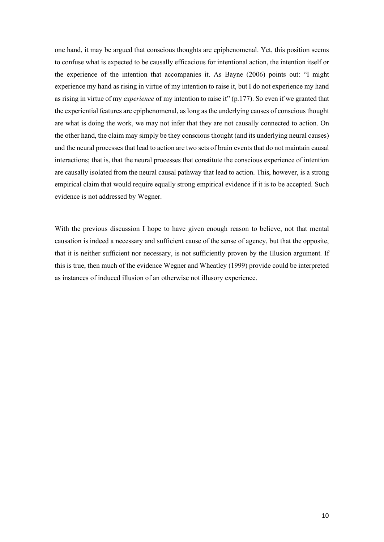one hand, it may be argued that conscious thoughts are epiphenomenal. Yet, this position seems to confuse what is expected to be causally efficacious for intentional action, the intention itself or the experience of the intention that accompanies it. As Bayne (2006) points out: "I might experience my hand as rising in virtue of my intention to raise it, but I do not experience my hand as rising in virtue of my *experience* of my intention to raise it" (p.177). So even if we granted that the experiential features are epiphenomenal, as long as the underlying causes of conscious thought are what is doing the work, we may not infer that they are not causally connected to action. On the other hand, the claim may simply be they conscious thought (and its underlying neural causes) and the neural processes that lead to action are two sets of brain events that do not maintain causal interactions; that is, that the neural processes that constitute the conscious experience of intention are causally isolated from the neural causal pathway that lead to action. This, however, is a strong empirical claim that would require equally strong empirical evidence if it is to be accepted. Such evidence is not addressed by Wegner.

With the previous discussion I hope to have given enough reason to believe, not that mental causation is indeed a necessary and sufficient cause of the sense of agency, but that the opposite, that it is neither sufficient nor necessary, is not sufficiently proven by the Illusion argument. If this is true, then much of the evidence Wegner and Wheatley (1999) provide could be interpreted as instances of induced illusion of an otherwise not illusory experience.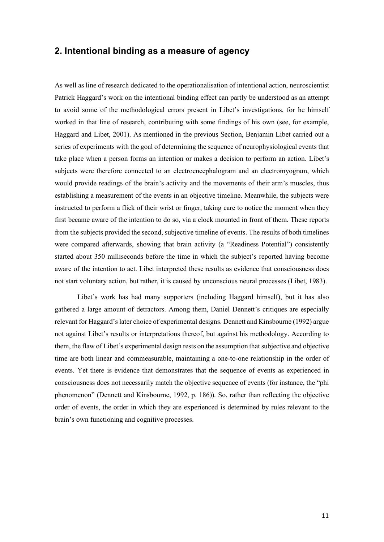# **2. Intentional binding as a measure of agency**

As well as line of research dedicated to the operationalisation of intentional action, neuroscientist Patrick Haggard's work on the intentional binding effect can partly be understood as an attempt to avoid some of the methodological errors present in Libet's investigations, for he himself worked in that line of research, contributing with some findings of his own (see, for example, Haggard and Libet, 2001). As mentioned in the previous Section, Benjamin Libet carried out a series of experiments with the goal of determining the sequence of neurophysiological events that take place when a person forms an intention or makes a decision to perform an action. Libet's subjects were therefore connected to an electroencephalogram and an electromyogram, which would provide readings of the brain's activity and the movements of their arm's muscles, thus establishing a measurement of the events in an objective timeline. Meanwhile, the subjects were instructed to perform a flick of their wrist or finger, taking care to notice the moment when they first became aware of the intention to do so, via a clock mounted in front of them. These reports from the subjects provided the second, subjective timeline of events. The results of both timelines were compared afterwards, showing that brain activity (a "Readiness Potential") consistently started about 350 milliseconds before the time in which the subject's reported having become aware of the intention to act. Libet interpreted these results as evidence that consciousness does not start voluntary action, but rather, it is caused by unconscious neural processes (Libet, 1983).

Libet's work has had many supporters (including Haggard himself), but it has also gathered a large amount of detractors. Among them, Daniel Dennett's critiques are especially relevant for Haggard's later choice of experimental designs. Dennett and Kinsbourne (1992) argue not against Libet's results or interpretations thereof, but against his methodology. According to them, the flaw of Libet's experimental design rests on the assumption that subjective and objective time are both linear and commeasurable, maintaining a one-to-one relationship in the order of events. Yet there is evidence that demonstrates that the sequence of events as experienced in consciousness does not necessarily match the objective sequence of events (for instance, the "phi phenomenon" (Dennett and Kinsbourne, 1992, p. 186)). So, rather than reflecting the objective order of events, the order in which they are experienced is determined by rules relevant to the brain's own functioning and cognitive processes.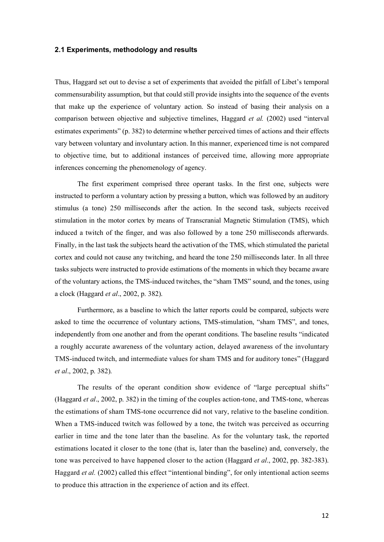#### **2.1 Experiments, methodology and results**

Thus, Haggard set out to devise a set of experiments that avoided the pitfall of Libet's temporal commensurability assumption, but that could still provide insights into the sequence of the events that make up the experience of voluntary action. So instead of basing their analysis on a comparison between objective and subjective timelines, Haggard *et al.* (2002) used "interval estimates experiments" (p. 382) to determine whether perceived times of actions and their effects vary between voluntary and involuntary action. In this manner, experienced time is not compared to objective time, but to additional instances of perceived time, allowing more appropriate inferences concerning the phenomenology of agency.

The first experiment comprised three operant tasks. In the first one, subjects were instructed to perform a voluntary action by pressing a button, which was followed by an auditory stimulus (a tone) 250 milliseconds after the action. In the second task, subjects received stimulation in the motor cortex by means of Transcranial Magnetic Stimulation (TMS), which induced a twitch of the finger, and was also followed by a tone 250 milliseconds afterwards. Finally, in the last task the subjects heard the activation of the TMS, which stimulated the parietal cortex and could not cause any twitching, and heard the tone 250 milliseconds later. In all three tasks subjects were instructed to provide estimations of the moments in which they became aware of the voluntary actions, the TMS-induced twitches, the "sham TMS" sound, and the tones, using a clock (Haggard *et al*., 2002, p. 382).

Furthermore, as a baseline to which the latter reports could be compared, subjects were asked to time the occurrence of voluntary actions, TMS-stimulation, "sham TMS", and tones, independently from one another and from the operant conditions. The baseline results "indicated a roughly accurate awareness of the voluntary action, delayed awareness of the involuntary TMS-induced twitch, and intermediate values for sham TMS and for auditory tones" (Haggard *et al*., 2002, p. 382).

The results of the operant condition show evidence of "large perceptual shifts" (Haggard *et al*., 2002, p. 382) in the timing of the couples action-tone, and TMS-tone, whereas the estimations of sham TMS-tone occurrence did not vary, relative to the baseline condition. When a TMS-induced twitch was followed by a tone, the twitch was perceived as occurring earlier in time and the tone later than the baseline. As for the voluntary task, the reported estimations located it closer to the tone (that is, later than the baseline) and, conversely, the tone was perceived to have happened closer to the action (Haggard *et al*., 2002, pp. 382-383). Haggard *et al.* (2002) called this effect "intentional binding", for only intentional action seems to produce this attraction in the experience of action and its effect.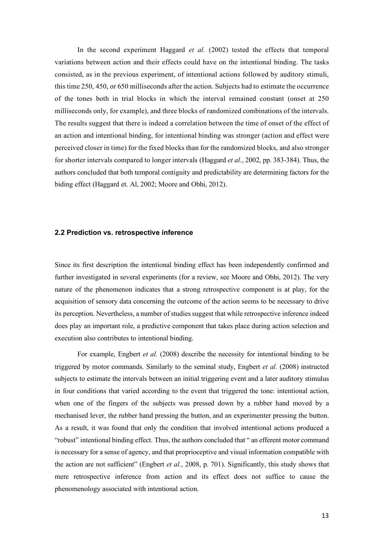In the second experiment Haggard *et al.* (2002) tested the effects that temporal variations between action and their effects could have on the intentional binding. The tasks consisted, as in the previous experiment, of intentional actions followed by auditory stimuli, this time 250, 450, or 650 milliseconds after the action. Subjects had to estimate the occurrence of the tones both in trial blocks in which the interval remained constant (onset at 250 milliseconds only, for example), and three blocks of randomized combinations of the intervals. The results suggest that there is indeed a correlation between the time of onset of the effect of an action and intentional binding, for intentional binding was stronger (action and effect were perceived closer in time) for the fixed blocks than for the randomized blocks, and also stronger for shorter intervals compared to longer intervals (Haggard *et al*., 2002, pp. 383-384). Thus, the authors concluded that both temporal contiguity and predictability are determining factors for the biding effect (Haggard et. Al, 2002; Moore and Obhi, 2012).

#### **2.2 Prediction vs. retrospective inference**

Since its first description the intentional binding effect has been independently confirmed and further investigated in several experiments (for a review, see Moore and Obhi, 2012). The very nature of the phenomenon indicates that a strong retrospective component is at play, for the acquisition of sensory data concerning the outcome of the action seems to be necessary to drive its perception. Nevertheless, a number of studies suggest that while retrospective inference indeed does play an important role, a predictive component that takes place during action selection and execution also contributes to intentional binding.

For example, Engbert *et al.* (2008) describe the necessity for intentional binding to be triggered by motor commands. Similarly to the seminal study, Engbert *et al.* (2008) instructed subjects to estimate the intervals between an initial triggering event and a later auditory stimulus in four conditions that varied according to the event that triggered the tone: intentional action, when one of the fingers of the subjects was pressed down by a rubber hand moved by a mechanised lever, the rubber hand pressing the button, and an experimenter pressing the button. As a result, it was found that only the condition that involved intentional actions produced a "robust" intentional binding effect. Thus, the authors concluded that " an efferent motor command is necessary for a sense of agency, and that proprioceptive and visual information compatible with the action are not sufficient" (Engbert *et al.*, 2008, p. 701). Significantly, this study shows that mere retrospective inference from action and its effect does not suffice to cause the phenomenology associated with intentional action.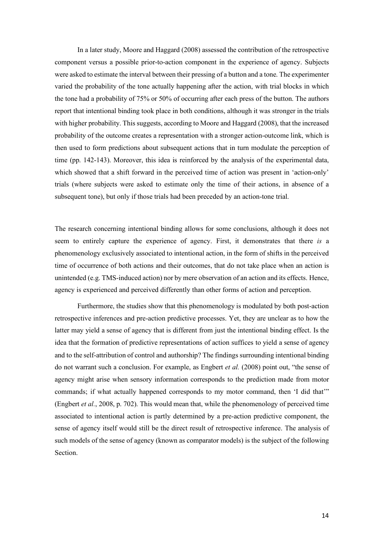In a later study, Moore and Haggard (2008) assessed the contribution of the retrospective component versus a possible prior-to-action component in the experience of agency. Subjects were asked to estimate the interval between their pressing of a button and a tone. The experimenter varied the probability of the tone actually happening after the action, with trial blocks in which the tone had a probability of 75% or 50% of occurring after each press of the button. The authors report that intentional binding took place in both conditions, although it was stronger in the trials with higher probability. This suggests, according to Moore and Haggard (2008), that the increased probability of the outcome creates a representation with a stronger action-outcome link, which is then used to form predictions about subsequent actions that in turn modulate the perception of time (pp. 142-143). Moreover, this idea is reinforced by the analysis of the experimental data, which showed that a shift forward in the perceived time of action was present in 'action-only' trials (where subjects were asked to estimate only the time of their actions, in absence of a subsequent tone), but only if those trials had been preceded by an action-tone trial.

The research concerning intentional binding allows for some conclusions, although it does not seem to entirely capture the experience of agency. First, it demonstrates that there *is* a phenomenology exclusively associated to intentional action, in the form of shifts in the perceived time of occurrence of both actions and their outcomes, that do not take place when an action is unintended (e.g. TMS-induced action) nor by mere observation of an action and its effects. Hence, agency is experienced and perceived differently than other forms of action and perception.

Furthermore, the studies show that this phenomenology is modulated by both post-action retrospective inferences and pre-action predictive processes. Yet, they are unclear as to how the latter may yield a sense of agency that is different from just the intentional binding effect. Is the idea that the formation of predictive representations of action suffices to yield a sense of agency and to the self-attribution of control and authorship? The findings surrounding intentional binding do not warrant such a conclusion. For example, as Engbert *et al.* (2008) point out, "the sense of agency might arise when sensory information corresponds to the prediction made from motor commands; if what actually happened corresponds to my motor command, then 'I did that'" (Engbert *et al.*, 2008, p. 702). This would mean that, while the phenomenology of perceived time associated to intentional action is partly determined by a pre-action predictive component, the sense of agency itself would still be the direct result of retrospective inference. The analysis of such models of the sense of agency (known as comparator models) is the subject of the following Section.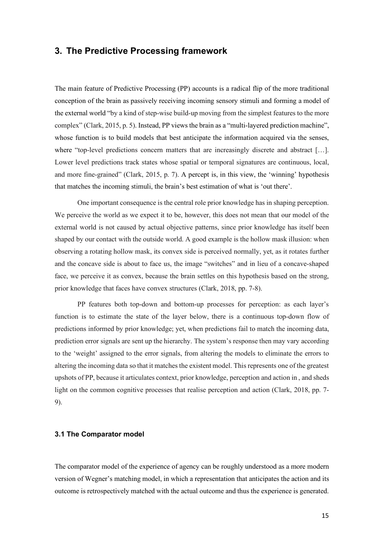## **3. The Predictive Processing framework**

The main feature of Predictive Processing (PP) accounts is a radical flip of the more traditional conception of the brain as passively receiving incoming sensory stimuli and forming a model of the external world "by a kind of step-wise build-up moving from the simplest features to the more complex" (Clark, 2015, p. 5). Instead, PP views the brain as a "multi-layered prediction machine", whose function is to build models that best anticipate the information acquired via the senses, where "top-level predictions concern matters that are increasingly discrete and abstract [...]. Lower level predictions track states whose spatial or temporal signatures are continuous, local, and more fine-grained" (Clark, 2015, p. 7). A percept is, in this view, the 'winning' hypothesis that matches the incoming stimuli, the brain's best estimation of what is 'out there'.

One important consequence is the central role prior knowledge has in shaping perception. We perceive the world as we expect it to be, however, this does not mean that our model of the external world is not caused by actual objective patterns, since prior knowledge has itself been shaped by our contact with the outside world. A good example is the hollow mask illusion: when observing a rotating hollow mask, its convex side is perceived normally, yet, as it rotates further and the concave side is about to face us, the image "switches" and in lieu of a concave-shaped face, we perceive it as convex, because the brain settles on this hypothesis based on the strong, prior knowledge that faces have convex structures (Clark, 2018, pp. 7-8).

PP features both top-down and bottom-up processes for perception: as each layer's function is to estimate the state of the layer below, there is a continuous top-down flow of predictions informed by prior knowledge; yet, when predictions fail to match the incoming data, prediction error signals are sent up the hierarchy. The system's response then may vary according to the 'weight' assigned to the error signals, from altering the models to eliminate the errors to altering the incoming data so that it matches the existent model. This represents one of the greatest upshots of PP, because it articulates context, prior knowledge, perception and action in , and sheds light on the common cognitive processes that realise perception and action (Clark, 2018, pp. 7- 9).

#### **3.1 The Comparator model**

The comparator model of the experience of agency can be roughly understood as a more modern version of Wegner's matching model, in which a representation that anticipates the action and its outcome is retrospectively matched with the actual outcome and thus the experience is generated.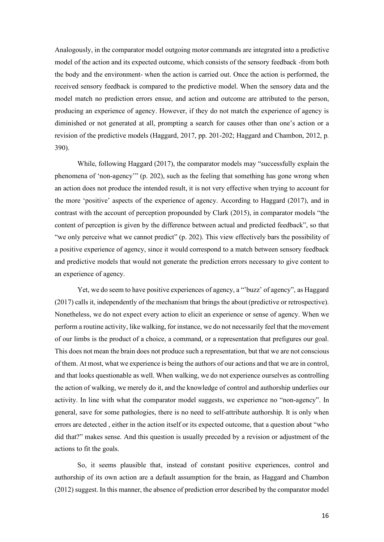Analogously, in the comparator model outgoing motor commands are integrated into a predictive model of the action and its expected outcome, which consists of the sensory feedback -from both the body and the environment- when the action is carried out. Once the action is performed, the received sensory feedback is compared to the predictive model. When the sensory data and the model match no prediction errors ensue, and action and outcome are attributed to the person, producing an experience of agency. However, if they do not match the experience of agency is diminished or not generated at all, prompting a search for causes other than one's action or a revision of the predictive models (Haggard, 2017, pp. 201-202; Haggard and Chambon, 2012, p. 390).

While, following Haggard (2017), the comparator models may "successfully explain the phenomena of 'non-agency'" (p. 202), such as the feeling that something has gone wrong when an action does not produce the intended result, it is not very effective when trying to account for the more 'positive' aspects of the experience of agency. According to Haggard (2017), and in contrast with the account of perception propounded by Clark (2015), in comparator models "the content of perception is given by the difference between actual and predicted feedback", so that "we only perceive what we cannot predict" (p. 202). This view effectively bars the possibility of a positive experience of agency, since it would correspond to a match between sensory feedback and predictive models that would not generate the prediction errors necessary to give content to an experience of agency.

Yet, we do seem to have positive experiences of agency, a "'buzz' of agency", as Haggard (2017) calls it, independently of the mechanism that brings the about (predictive or retrospective). Nonetheless, we do not expect every action to elicit an experience or sense of agency. When we perform a routine activity, like walking, for instance, we do not necessarily feel that the movement of our limbs is the product of a choice, a command, or a representation that prefigures our goal. This does not mean the brain does not produce such a representation, but that we are not conscious of them. At most, what we experience is being the authors of our actions and that we are in control, and that looks questionable as well. When walking, we do not experience ourselves as controlling the action of walking, we merely do it, and the knowledge of control and authorship underlies our activity. In line with what the comparator model suggests, we experience no "non-agency". In general, save for some pathologies, there is no need to self-attribute authorship. It is only when errors are detected , either in the action itself or its expected outcome, that a question about "who did that?" makes sense. And this question is usually preceded by a revision or adjustment of the actions to fit the goals.

So, it seems plausible that, instead of constant positive experiences, control and authorship of its own action are a default assumption for the brain, as Haggard and Chambon (2012) suggest. In this manner, the absence of prediction error described by the comparator model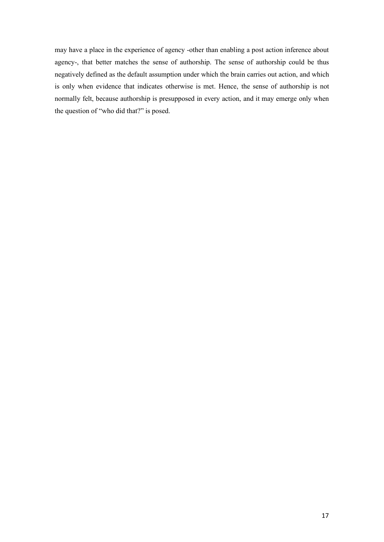may have a place in the experience of agency -other than enabling a post action inference about agency-, that better matches the sense of authorship. The sense of authorship could be thus negatively defined as the default assumption under which the brain carries out action, and which is only when evidence that indicates otherwise is met. Hence, the sense of authorship is not normally felt, because authorship is presupposed in every action, and it may emerge only when the question of "who did that?" is posed.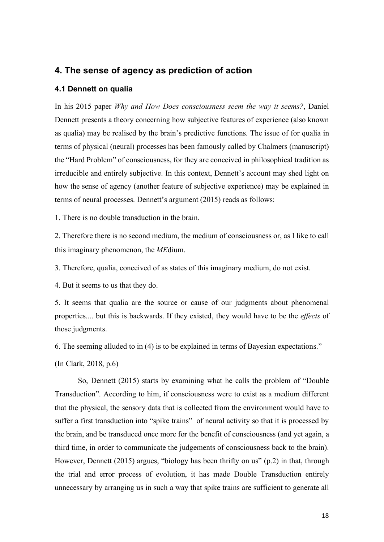# **4. The sense of agency as prediction of action**

#### **4.1 Dennett on qualia**

In his 2015 paper *Why and How Does consciousness seem the way it seems?*, Daniel Dennett presents a theory concerning how subjective features of experience (also known as qualia) may be realised by the brain's predictive functions. The issue of for qualia in terms of physical (neural) processes has been famously called by Chalmers (manuscript) the "Hard Problem" of consciousness, for they are conceived in philosophical tradition as irreducible and entirely subjective. In this context, Dennett's account may shed light on how the sense of agency (another feature of subjective experience) may be explained in terms of neural processes. Dennett's argument (2015) reads as follows:

1. There is no double transduction in the brain.

2. Therefore there is no second medium, the medium of consciousness or, as I like to call this imaginary phenomenon, the *ME*dium.

3. Therefore, qualia, conceived of as states of this imaginary medium, do not exist.

4. But it seems to us that they do.

5. It seems that qualia are the source or cause of our judgments about phenomenal properties.... but this is backwards. If they existed, they would have to be the *effects* of those judgments.

6. The seeming alluded to in (4) is to be explained in terms of Bayesian expectations."

(In Clark, 2018, p.6)

So, Dennett (2015) starts by examining what he calls the problem of "Double Transduction". According to him, if consciousness were to exist as a medium different that the physical, the sensory data that is collected from the environment would have to suffer a first transduction into "spike trains" of neural activity so that it is processed by the brain, and be transduced once more for the benefit of consciousness (and yet again, a third time, in order to communicate the judgements of consciousness back to the brain). However, Dennett (2015) argues, "biology has been thrifty on us" (p.2) in that, through the trial and error process of evolution, it has made Double Transduction entirely unnecessary by arranging us in such a way that spike trains are sufficient to generate all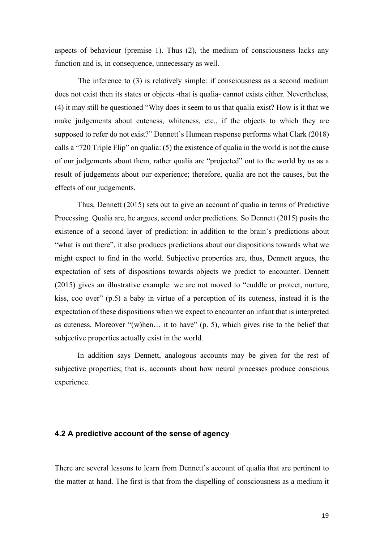aspects of behaviour (premise 1). Thus (2), the medium of consciousness lacks any function and is, in consequence, unnecessary as well.

The inference to (3) is relatively simple: if consciousness as a second medium does not exist then its states or objects -that is qualia- cannot exists either. Nevertheless, (4) it may still be questioned "Why does it seem to us that qualia exist? How is it that we make judgements about cuteness, whiteness, etc., if the objects to which they are supposed to refer do not exist?" Dennett's Humean response performs what Clark (2018) calls a "720 Triple Flip" on qualia: (5) the existence of qualia in the world is not the cause of our judgements about them, rather qualia are "projected" out to the world by us as a result of judgements about our experience; therefore, qualia are not the causes, but the effects of our judgements.

Thus, Dennett (2015) sets out to give an account of qualia in terms of Predictive Processing. Qualia are, he argues, second order predictions. So Dennett (2015) posits the existence of a second layer of prediction: in addition to the brain's predictions about "what is out there", it also produces predictions about our dispositions towards what we might expect to find in the world. Subjective properties are, thus, Dennett argues, the expectation of sets of dispositions towards objects we predict to encounter. Dennett (2015) gives an illustrative example: we are not moved to "cuddle or protect, nurture, kiss, coo over" (p.5) a baby in virtue of a perception of its cuteness, instead it is the expectation of these dispositions when we expect to encounter an infant that is interpreted as cuteness. Moreover "(w)hen… it to have" (p. 5), which gives rise to the belief that subjective properties actually exist in the world.

In addition says Dennett, analogous accounts may be given for the rest of subjective properties; that is, accounts about how neural processes produce conscious experience.

#### **4.2 A predictive account of the sense of agency**

There are several lessons to learn from Dennett's account of qualia that are pertinent to the matter at hand. The first is that from the dispelling of consciousness as a medium it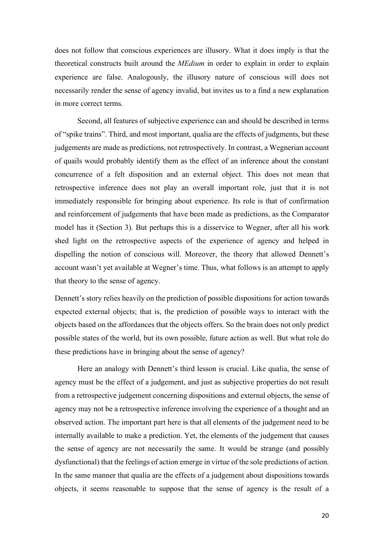does not follow that conscious experiences are illusory. What it does imply is that the theoretical constructs built around the *MEdium* in order to explain in order to explain experience are false. Analogously, the illusory nature of conscious will does not necessarily render the sense of agency invalid, but invites us to a find a new explanation in more correct terms.

Second, all features of subjective experience can and should be described in terms of "spike trains". Third, and most important, qualia are the effects of judgments, but these judgements are made as predictions, not retrospectively. In contrast, a Wegnerian account of quails would probably identify them as the effect of an inference about the constant concurrence of a felt disposition and an external object. This does not mean that retrospective inference does not play an overall important role, just that it is not immediately responsible for bringing about experience. Its role is that of confirmation and reinforcement of judgements that have been made as predictions, as the Comparator model has it (Section 3). But perhaps this is a disservice to Wegner, after all his work shed light on the retrospective aspects of the experience of agency and helped in dispelling the notion of conscious will. Moreover, the theory that allowed Dennett's account wasn't yet available at Wegner's time. Thus, what follows is an attempt to apply that theory to the sense of agency.

Dennett's story relies heavily on the prediction of possible dispositions for action towards expected external objects; that is, the prediction of possible ways to interact with the objects based on the affordances that the objects offers. So the brain does not only predict possible states of the world, but its own possible, future action as well. But what role do these predictions have in bringing about the sense of agency?

Here an analogy with Dennett's third lesson is crucial. Like qualia, the sense of agency must be the effect of a judgement, and just as subjective properties do not result from a retrospective judgement concerning dispositions and external objects, the sense of agency may not be a retrospective inference involving the experience of a thought and an observed action. The important part here is that all elements of the judgement need to be internally available to make a prediction. Yet, the elements of the judgement that causes the sense of agency are not necessarily the same. It would be strange (and possibly dysfunctional) that the feelings of action emerge in virtue of the sole predictions of action. In the same manner that qualia are the effects of a judgement about dispositions towards objects, it seems reasonable to suppose that the sense of agency is the result of a

20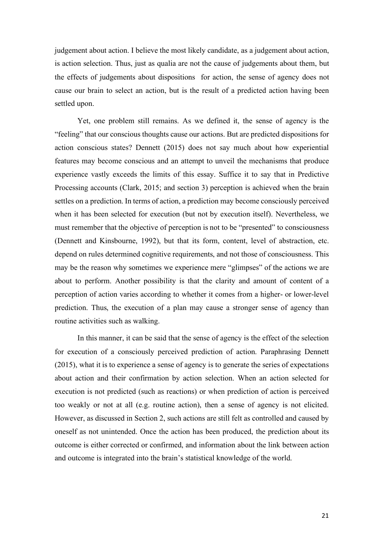judgement about action. I believe the most likely candidate, as a judgement about action, is action selection. Thus, just as qualia are not the cause of judgements about them, but the effects of judgements about dispositions for action, the sense of agency does not cause our brain to select an action, but is the result of a predicted action having been settled upon.

Yet, one problem still remains. As we defined it, the sense of agency is the "feeling" that our conscious thoughts cause our actions. But are predicted dispositions for action conscious states? Dennett (2015) does not say much about how experiential features may become conscious and an attempt to unveil the mechanisms that produce experience vastly exceeds the limits of this essay. Suffice it to say that in Predictive Processing accounts (Clark, 2015; and section 3) perception is achieved when the brain settles on a prediction. In terms of action, a prediction may become consciously perceived when it has been selected for execution (but not by execution itself). Nevertheless, we must remember that the objective of perception is not to be "presented" to consciousness (Dennett and Kinsbourne, 1992), but that its form, content, level of abstraction, etc. depend on rules determined cognitive requirements, and not those of consciousness. This may be the reason why sometimes we experience mere "glimpses" of the actions we are about to perform. Another possibility is that the clarity and amount of content of a perception of action varies according to whether it comes from a higher- or lower-level prediction. Thus, the execution of a plan may cause a stronger sense of agency than routine activities such as walking.

In this manner, it can be said that the sense of agency is the effect of the selection for execution of a consciously perceived prediction of action. Paraphrasing Dennett (2015), what it is to experience a sense of agency is to generate the series of expectations about action and their confirmation by action selection. When an action selected for execution is not predicted (such as reactions) or when prediction of action is perceived too weakly or not at all (e.g. routine action), then a sense of agency is not elicited. However, as discussed in Section 2, such actions are still felt as controlled and caused by oneself as not unintended. Once the action has been produced, the prediction about its outcome is either corrected or confirmed, and information about the link between action and outcome is integrated into the brain's statistical knowledge of the world.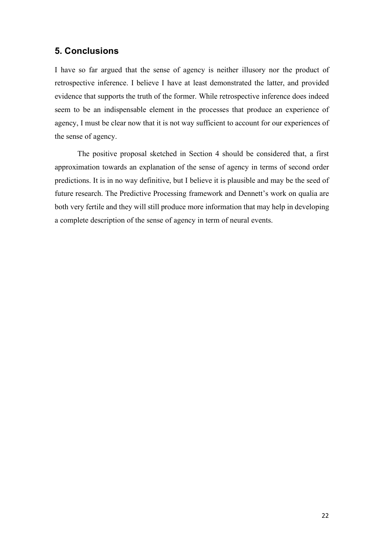# **5. Conclusions**

I have so far argued that the sense of agency is neither illusory nor the product of retrospective inference. I believe I have at least demonstrated the latter, and provided evidence that supports the truth of the former. While retrospective inference does indeed seem to be an indispensable element in the processes that produce an experience of agency, I must be clear now that it is not way sufficient to account for our experiences of the sense of agency.

The positive proposal sketched in Section 4 should be considered that, a first approximation towards an explanation of the sense of agency in terms of second order predictions. It is in no way definitive, but I believe it is plausible and may be the seed of future research. The Predictive Processing framework and Dennett's work on qualia are both very fertile and they will still produce more information that may help in developing a complete description of the sense of agency in term of neural events.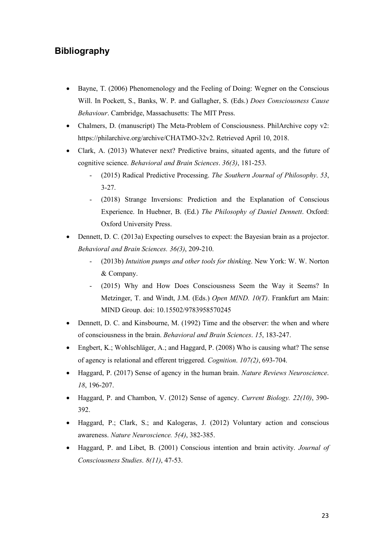# **Bibliography**

- Bayne, T. (2006) Phenomenology and the Feeling of Doing: Wegner on the Conscious Will. In Pockett, S., Banks, W. P. and Gallagher, S. (Eds.) *Does Consciousness Cause Behaviour*. Cambridge, Massachusetts: The MIT Press.
- Chalmers, D. (manuscript) The Meta-Problem of Consciousness. PhilArchive copy v2: https://philarchive.org/archive/CHATMO-32v2. Retrieved April 10, 2018.
- Clark, A. (2013) Whatever next? Predictive brains, situated agents, and the future of cognitive science. *Behavioral and Brain Sciences*. *36(3)*, 181-253.
	- (2015) Radical Predictive Processing. *The Southern Journal of Philosophy*. *53*, 3-27.
	- (2018) Strange Inversions: Prediction and the Explanation of Conscious Experience. In Huebner, B. (Ed.) *The Philosophy of Daniel Dennett*. Oxford: Oxford University Press.
- Dennett, D. C. (2013a) Expecting ourselves to expect: the Bayesian brain as a projector. *Behavioral and Brain Sciences. 36(3)*, 209-210.
	- (2013b) *Intuition pumps and other tools for thinking*. New York: W. W. Norton & Company.
	- (2015) Why and How Does Consciousness Seem the Way it Seems? In Metzinger, T. and Windt, J.M. (Eds.) *Open MIND*. *10(T)*. Frankfurt am Main: MIND Group. doi: 10.15502/9783958570245
- Dennett, D. C. and Kinsbourne, M. (1992) Time and the observer: the when and where of consciousness in the brain. *Behavioral and Brain Sciences*. *15*, 183-247.
- Engbert, K.; Wohlschläger, A.; and Haggard, P. (2008) Who is causing what? The sense of agency is relational and efferent triggered. *Cognition*. *107(2)*, 693-704.
- Haggard, P. (2017) Sense of agency in the human brain. *Nature Reviews Neuroscience*. *18*, 196-207.
- Haggard, P. and Chambon, V. (2012) Sense of agency. *Current Biology. 22(10)*, 390- 392.
- Haggard, P.; Clark, S.; and Kalogeras, J. (2012) Voluntary action and conscious awareness. *Nature Neuroscience. 5(4)*, 382-385.
- Haggard, P. and Libet, B. (2001) Conscious intention and brain activity. *Journal of Consciousness Studies*. *8(11)*, 47-53.